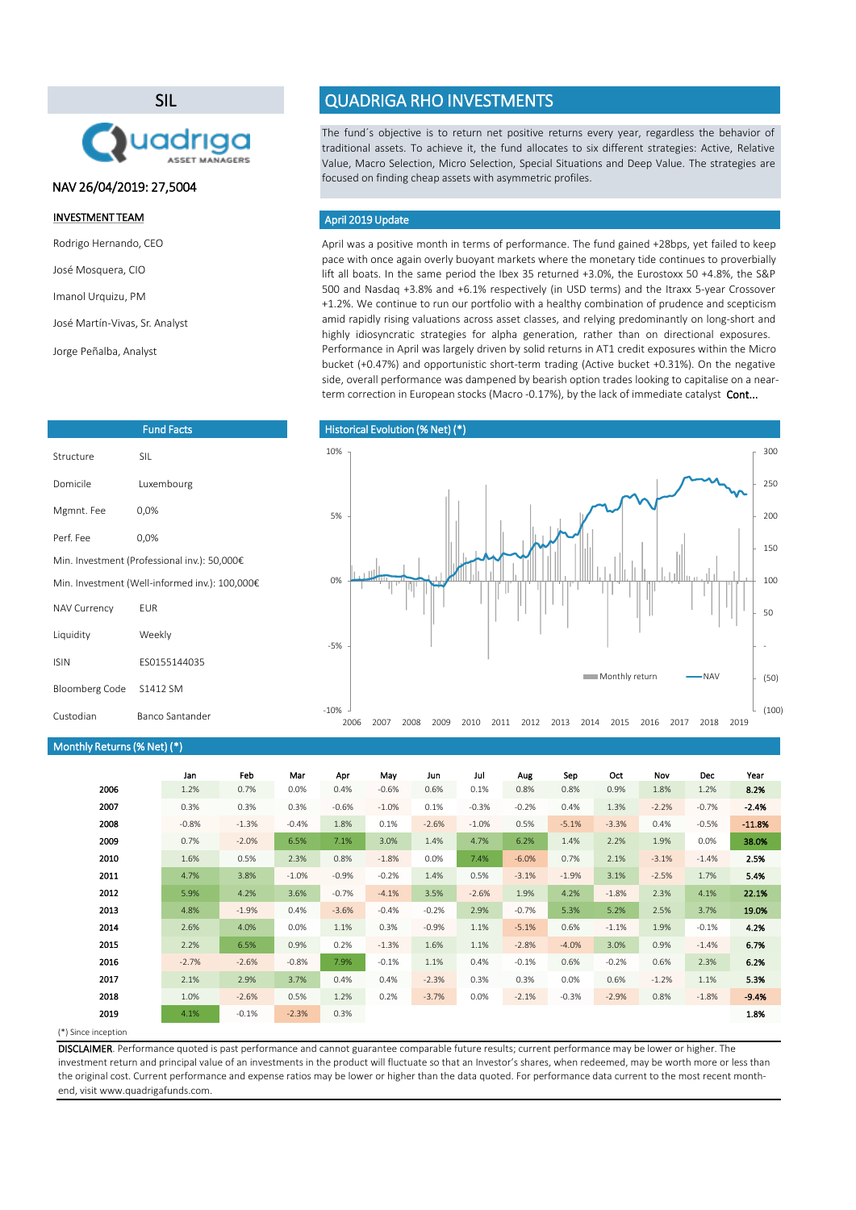April was a positive month in terms of performance. The fund gained +28bps, yet failed to keep pace with once again overly buoyant markets where the monetary tide continues to proverbially lift all boats. In the same period the Ibex 35 returned +3.0%, the Eurostoxx 50 +4.8%, the S&P 500 and Nasdaq +3.8% and +6.1% respectively (in USD terms) and the Itraxx 5-year Crossover +1.2%. We continue to run our portfolio with a healthy combination of prudence and scepticism amid rapidly rising valuations across asset classes, and relying predominantly on long-short and highly idiosyncratic strategies for alpha generation, rather than on directional exposures. Performance in April was largely driven by solid returns in AT1 credit exposures within the Micro bucket (+0.47%) and opportunistic short-term trading (Active bucket +0.31%). On the negative side, overall performance was dampened by bearish option trades looking to capitalise on a nearterm correction in European stocks (Macro -0.17%), by the lack of immediate catalyst Cont...

(\*) Since inception

| Monthly Returns (% Net) (*) |         |         |         |         |         |         |          |         |         |         |         |         |          |
|-----------------------------|---------|---------|---------|---------|---------|---------|----------|---------|---------|---------|---------|---------|----------|
|                             | Jan     | Feb     | Mar     | Apr     | May     | Jun     | Jul      | Aug     | Sep     | Oct     | Nov     | Dec     | Year     |
| 2006                        | 1.2%    | 0.7%    | 0.0%    | 0.4%    | $-0.6%$ | 0.6%    | 0.1%     | 0.8%    | 0.8%    | 0.9%    | 1.8%    | 1.2%    | 8.2%     |
| 2007                        | 0.3%    | 0.3%    | 0.3%    | $-0.6%$ | $-1.0%$ | 0.1%    | $-0.3%$  | $-0.2%$ | 0.4%    | 1.3%    | $-2.2%$ | $-0.7%$ | $-2.4%$  |
| 2008                        | $-0.8%$ | $-1.3%$ | $-0.4%$ | 1.8%    | 0.1%    | $-2.6%$ | $-1.0\%$ | 0.5%    | $-5.1%$ | $-3.3%$ | 0.4%    | $-0.5%$ | $-11.8%$ |
| 2009                        | 0.7%    | $-2.0%$ | 6.5%    | 7.1%    | 3.0%    | 1.4%    | 4.7%     | 6.2%    | 1.4%    | 2.2%    | 1.9%    | 0.0%    | 38.0%    |
| 2010                        | 1.6%    | 0.5%    | 2.3%    | 0.8%    | $-1.8%$ | 0.0%    | 7.4%     | $-6.0%$ | 0.7%    | 2.1%    | $-3.1%$ | $-1.4%$ | 2.5%     |
| 2011                        | 4.7%    | 3.8%    | $-1.0%$ | $-0.9%$ | $-0.2%$ | 1.4%    | 0.5%     | $-3.1%$ | $-1.9%$ | 3.1%    | $-2.5%$ | 1.7%    | 5.4%     |
| 2012                        | 5.9%    | 4.2%    | 3.6%    | $-0.7%$ | $-4.1%$ | 3.5%    | $-2.6%$  | 1.9%    | 4.2%    | $-1.8%$ | 2.3%    | 4.1%    | 22.1%    |
| 2013                        | 4.8%    | $-1.9%$ | 0.4%    | $-3.6%$ | $-0.4%$ | $-0.2%$ | 2.9%     | $-0.7%$ | 5.3%    | 5.2%    | 2.5%    | 3.7%    | 19.0%    |
| 2014                        | 2.6%    | 4.0%    | 0.0%    | 1.1%    | 0.3%    | $-0.9%$ | 1.1%     | $-5.1%$ | 0.6%    | $-1.1%$ | 1.9%    | $-0.1%$ | 4.2%     |
| 2015                        | 2.2%    | 6.5%    | 0.9%    | 0.2%    | $-1.3%$ | 1.6%    | 1.1%     | $-2.8%$ | $-4.0%$ | 3.0%    | 0.9%    | $-1.4%$ | 6.7%     |
| 2016                        | $-2.7%$ | $-2.6%$ | $-0.8%$ | 7.9%    | $-0.1%$ | 1.1%    | 0.4%     | $-0.1%$ | 0.6%    | $-0.2%$ | 0.6%    | 2.3%    | 6.2%     |
| 2017                        | 2.1%    | 2.9%    | 3.7%    | 0.4%    | 0.4%    | $-2.3%$ | 0.3%     | 0.3%    | 0.0%    | 0.6%    | $-1.2%$ | 1.1%    | 5.3%     |
| 2018                        | 1.0%    | $-2.6%$ | 0.5%    | 1.2%    | 0.2%    | $-3.7%$ | 0.0%     | $-2.1%$ | $-0.3%$ | $-2.9%$ | 0.8%    | $-1.8%$ | $-9.4%$  |
| 2019                        | 4.1%    | $-0.1%$ | $-2.3%$ | 0.3%    |         |         |          |         |         |         |         |         | 1.8%     |

The fund´s objective is to return net positive returns every year, regardless the behavior of traditional assets. To achieve it, the fund allocates to six different strategies: Active, Relative Value, Macro Selection, Micro Selection, Special Situations and Deep Value. The strategies are focused on finding cheap assets with asymmetric profiles.

### April 2019 Update

DISCLAIMER. Performance quoted is past performance and cannot guarantee comparable future results; current performance may be lower or higher. The investment return and principal value of an investments in the product will fluctuate so that an Investor's shares, when redeemed, may be worth more or less than the original cost. Current performance and expense ratios may be lower or higher than the data quoted. For performance data current to the most recent monthend, visit www.quadrigafunds.com.

### INVESTMENT TEAM

Rodrigo Hernando, CEO

José Mosquera, CIO

Imanol Urquizu, PM

José Martín-Vivas, Sr. Analyst

Jorge Peñalba, Analyst

# SIL



|  |  | <b>QUADRIGA RHO INVESTMENTS</b> |
|--|--|---------------------------------|
|  |  |                                 |
|  |  |                                 |

| <b>Fund Facts</b>     |                                                |  |  |  |  |
|-----------------------|------------------------------------------------|--|--|--|--|
| Structure             | <b>SIL</b>                                     |  |  |  |  |
| Domicile              | Luxembourg                                     |  |  |  |  |
| Mgmnt. Fee            | 0,0%                                           |  |  |  |  |
| Perf. Fee             | 0,0%                                           |  |  |  |  |
|                       | Min. Investment (Professional inv.): 50,000€   |  |  |  |  |
|                       | Min. Investment (Well-informed inv.): 100,000€ |  |  |  |  |
| <b>NAV Currency</b>   | <b>EUR</b>                                     |  |  |  |  |
| Liquidity             | Weekly                                         |  |  |  |  |
| <b>ISIN</b>           | ES0155144035                                   |  |  |  |  |
| <b>Bloomberg Code</b> | S1412 SM                                       |  |  |  |  |

### Historical Evolution (% Net) (\*)

## NAV 26/04/2019: 27,5004

-10%

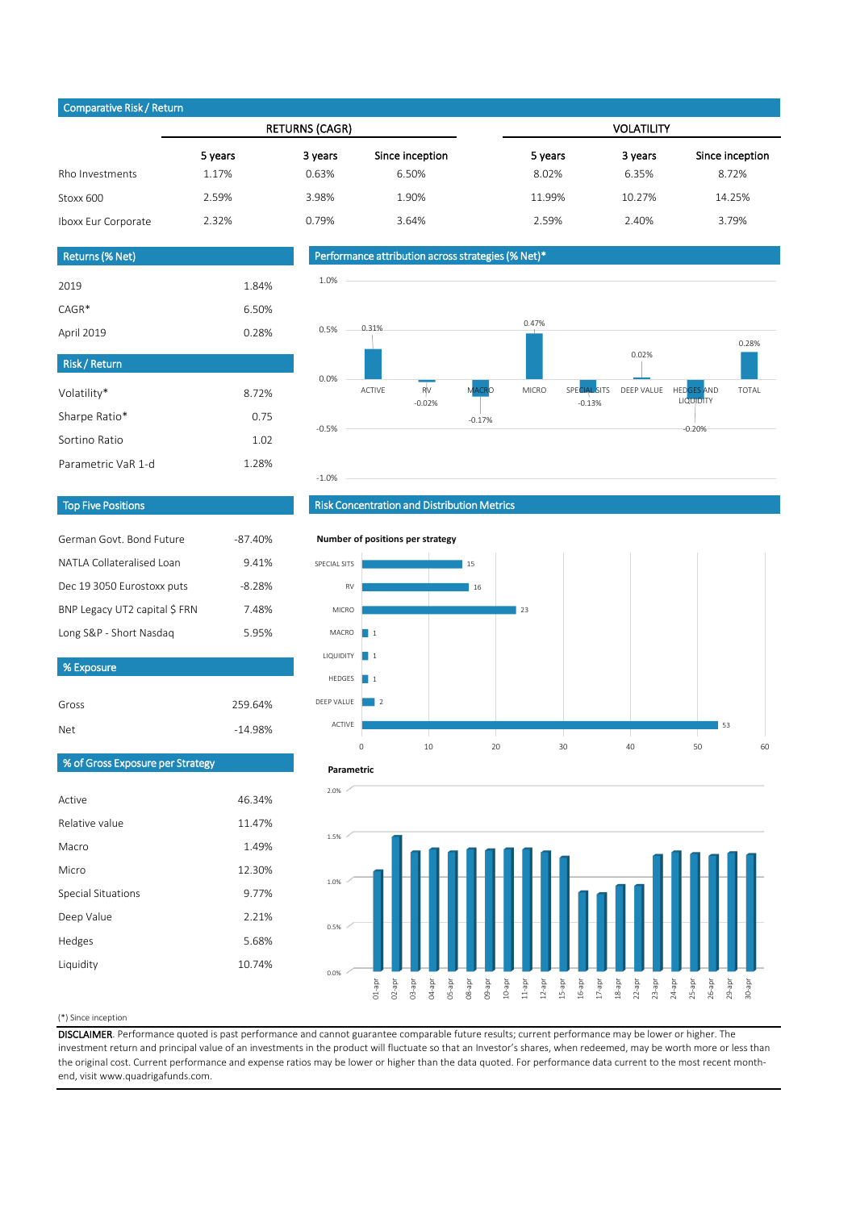#### (\*) Since inception

| $\sim$ parature increased the contract of $\sim$ |         |                       |                 |                   |         |                 |  |
|--------------------------------------------------|---------|-----------------------|-----------------|-------------------|---------|-----------------|--|
|                                                  |         | <b>RETURNS (CAGR)</b> |                 | <b>VOLATILITY</b> |         |                 |  |
|                                                  | 5 years | 3 years               | Since inception | 5 years           | 3 years | Since inception |  |
| Rho Investments                                  | 1.17%   | 0.63%                 | 6.50%           | 8.02%             | 6.35%   | 8.72%           |  |
| Stoxx 600                                        | 2.59%   | 3.98%                 | 1.90%           | 11.99%            | 10.27%  | 14.25%          |  |
| Iboxx Eur Corporate                              | 2.32%   | 0.79%                 | 3.64%           | 2.59%             | 2.40%   | 3.79%           |  |

| German Govt. Bond Future      | $-87.40%$ |
|-------------------------------|-----------|
| NATLA Collateralised Loan     | 9.41%     |
| Dec 19 3050 Eurostoxx puts    | $-8.28%$  |
| BNP Legacy UT2 capital \$ FRN | 7.48%     |
| Long S&P - Short Nasdaq       | 5.95%     |

| <b>Returns (% Net)</b> |       |
|------------------------|-------|
| 2019                   | 1.84% |
| $CAGR*$                | 6.50% |
| April 2019             | 0.28% |

| <b>Risk/Return</b> |       |
|--------------------|-------|
| Volatility*        | 8.72% |
| Sharpe Ratio*      | 0.75  |
| Sortino Ratio      | 1.02  |
| Parametric VaR 1-d | 1.28% |

| Gross                            | 259.64%   |
|----------------------------------|-----------|
| <b>Net</b>                       | $-14.98%$ |
| % of Gross Exposure per Strategy |           |
|                                  |           |
| Active                           | 46.34%    |
| Relative value                   | 11.47%    |
| Macro                            | 1.49%     |
| Micro                            | 12.30%    |
| <b>Special Situations</b>        | 9.77%     |
| Deep Value                       | 2.21%     |
| Hedges                           | 5.68%     |
| Liquidity                        | 10.74%    |
|                                  |           |

DISCLAIMER. Performance quoted is past performance and cannot guarantee comparable future results; current performance may be lower or higher. The investment return and principal value of an investments in the product will fluctuate so that an Investor's shares, when redeemed, may be worth more or less than the original cost. Current performance and expense ratios may be lower or higher than the data quoted. For performance data current to the most recent monthend, visit www.quadrigafunds.com.

### Top Five Positions

Risk Concentration and Distribution Metrics

### Performance attribution across strategies (% Net)\*

### Comparative Risk / Return

% Exposure









#### **Number of positions per strategy**



#### **Parametric**